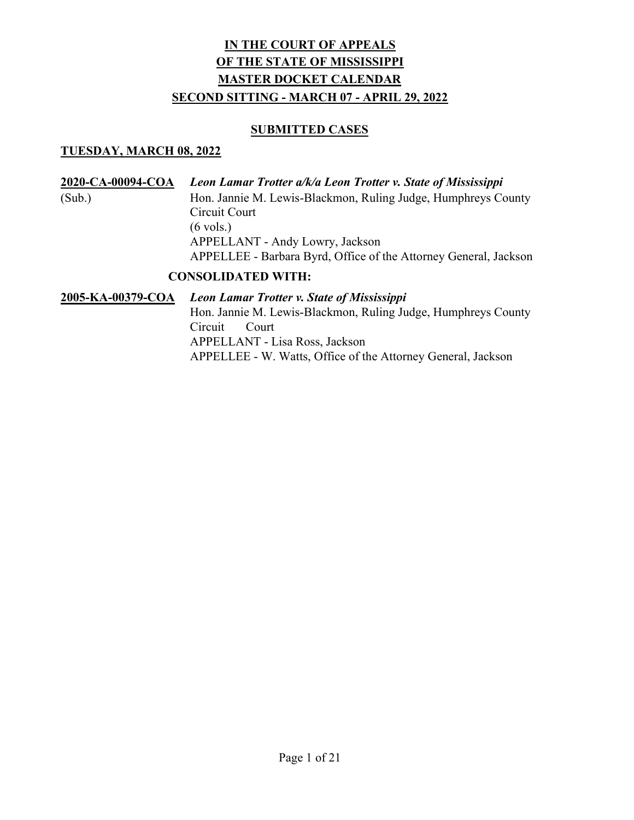#### SUBMITTED CASES

#### TUESDAY, MARCH 08, 2022

2020-CA-00094-COA Leon Lamar Trotter a/k/a Leon Trotter v. State of Mississippi (Sub.) Hon. Jannie M. Lewis-Blackmon, Ruling Judge, Humphreys County Circuit Court (6 vols.) APPELLANT - Andy Lowry, Jackson APPELLEE - Barbara Byrd, Office of the Attorney General, Jackson

### CONSOLIDATED WITH:

2005-KA-00379-COA Leon Lamar Trotter v. State of Mississippi Hon. Jannie M. Lewis-Blackmon, Ruling Judge, Humphreys County Circuit Court APPELLANT - Lisa Ross, Jackson APPELLEE - W. Watts, Office of the Attorney General, Jackson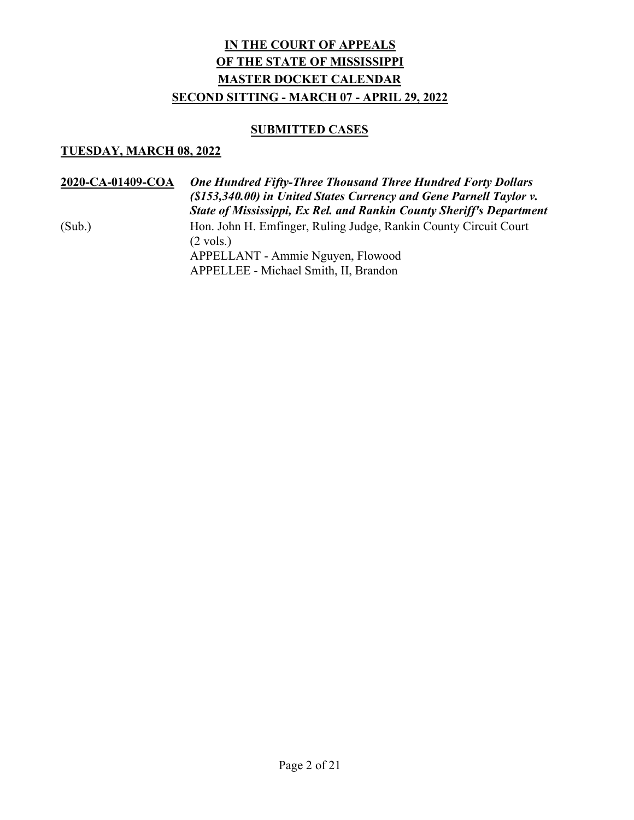#### SUBMITTED CASES

#### TUESDAY, MARCH 08, 2022

2020-CA-01409-COA One Hundred Fifty-Three Thousand Three Hundred Forty Dollars (\$153,340.00) in United States Currency and Gene Parnell Taylor v. State of Mississippi, Ex Rel. and Rankin County Sheriff's Department (Sub.) Hon. John H. Emfinger, Ruling Judge, Rankin County Circuit Court  $(2 \text{ vols.})$  APPELLANT - Ammie Nguyen, Flowood APPELLEE - Michael Smith, II, Brandon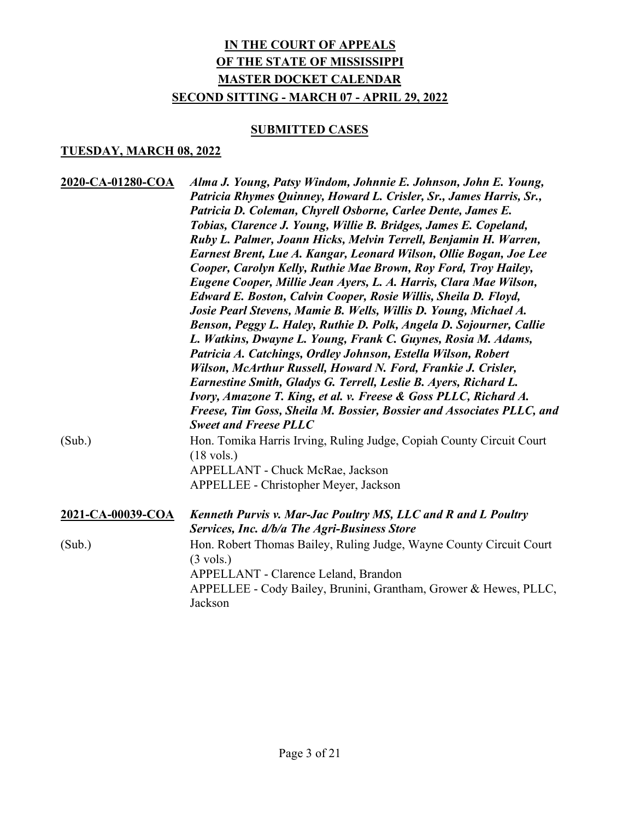### **SUBMITTED CASES**

| 2020-CA-01280-COA | Alma J. Young, Patsy Windom, Johnnie E. Johnson, John E. Young,<br>Patricia Rhymes Quinney, Howard L. Crisler, Sr., James Harris, Sr.,<br>Patricia D. Coleman, Chyrell Osborne, Carlee Dente, James E.<br>Tobias, Clarence J. Young, Willie B. Bridges, James E. Copeland,<br>Ruby L. Palmer, Joann Hicks, Melvin Terrell, Benjamin H. Warren,<br>Earnest Brent, Lue A. Kangar, Leonard Wilson, Ollie Bogan, Joe Lee<br>Cooper, Carolyn Kelly, Ruthie Mae Brown, Roy Ford, Troy Hailey,<br>Eugene Cooper, Millie Jean Ayers, L. A. Harris, Clara Mae Wilson,<br>Edward E. Boston, Calvin Cooper, Rosie Willis, Sheila D. Floyd,<br>Josie Pearl Stevens, Mamie B. Wells, Willis D. Young, Michael A.<br>Benson, Peggy L. Haley, Ruthie D. Polk, Angela D. Sojourner, Callie<br>L. Watkins, Dwayne L. Young, Frank C. Guynes, Rosia M. Adams,<br>Patricia A. Catchings, Ordley Johnson, Estella Wilson, Robert<br>Wilson, McArthur Russell, Howard N. Ford, Frankie J. Crisler,<br>Earnestine Smith, Gladys G. Terrell, Leslie B. Ayers, Richard L.<br>Ivory, Amazone T. King, et al. v. Freese & Goss PLLC, Richard A.<br>Freese, Tim Goss, Sheila M. Bossier, Bossier and Associates PLLC, and<br><b>Sweet and Freese PLLC</b> |
|-------------------|--------------------------------------------------------------------------------------------------------------------------------------------------------------------------------------------------------------------------------------------------------------------------------------------------------------------------------------------------------------------------------------------------------------------------------------------------------------------------------------------------------------------------------------------------------------------------------------------------------------------------------------------------------------------------------------------------------------------------------------------------------------------------------------------------------------------------------------------------------------------------------------------------------------------------------------------------------------------------------------------------------------------------------------------------------------------------------------------------------------------------------------------------------------------------------------------------------------------------------|
| (Sub.)            | Hon. Tomika Harris Irving, Ruling Judge, Copiah County Circuit Court<br>$(18 \text{ vols.})$<br>APPELLANT - Chuck McRae, Jackson<br>APPELLEE - Christopher Meyer, Jackson                                                                                                                                                                                                                                                                                                                                                                                                                                                                                                                                                                                                                                                                                                                                                                                                                                                                                                                                                                                                                                                      |
| 2021-CA-00039-COA | Kenneth Purvis v. Mar-Jac Poultry MS, LLC and R and L Poultry<br>Services, Inc. d/b/a The Agri-Business Store                                                                                                                                                                                                                                                                                                                                                                                                                                                                                                                                                                                                                                                                                                                                                                                                                                                                                                                                                                                                                                                                                                                  |
| (Sub.)            | Hon. Robert Thomas Bailey, Ruling Judge, Wayne County Circuit Court<br>$(3 \text{ vols.})$<br>APPELLANT - Clarence Leland, Brandon<br>APPELLEE - Cody Bailey, Brunini, Grantham, Grower & Hewes, PLLC,<br>Jackson                                                                                                                                                                                                                                                                                                                                                                                                                                                                                                                                                                                                                                                                                                                                                                                                                                                                                                                                                                                                              |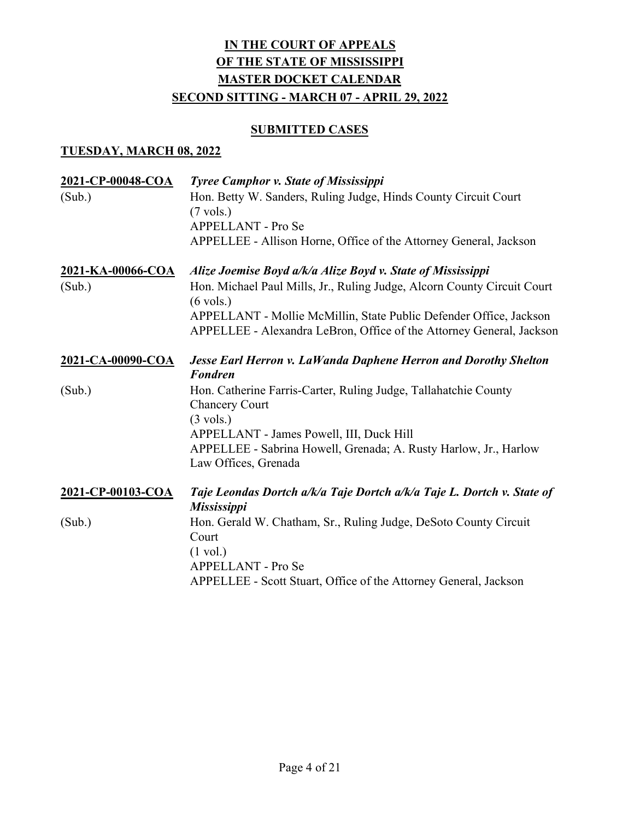### **SUBMITTED CASES**

| 2021-CP-00048-COA<br>(Sub.) | <b>Tyree Camphor v. State of Mississippi</b><br>Hon. Betty W. Sanders, Ruling Judge, Hinds County Circuit Court<br>$(7 \text{ vols.})$<br><b>APPELLANT - Pro Se</b><br>APPELLEE - Allison Horne, Office of the Attorney General, Jackson                                                                    |
|-----------------------------|-------------------------------------------------------------------------------------------------------------------------------------------------------------------------------------------------------------------------------------------------------------------------------------------------------------|
| 2021-KA-00066-COA<br>(Sub.) | Alize Joemise Boyd a/k/a Alize Boyd v. State of Mississippi<br>Hon. Michael Paul Mills, Jr., Ruling Judge, Alcorn County Circuit Court<br>$(6 \text{ vols.})$<br>APPELLANT - Mollie McMillin, State Public Defender Office, Jackson<br>APPELLEE - Alexandra LeBron, Office of the Attorney General, Jackson |
| 2021-CA-00090-COA           | <b>Jesse Earl Herron v. LaWanda Daphene Herron and Dorothy Shelton</b><br><b>Fondren</b>                                                                                                                                                                                                                    |
| (Sub.)                      | Hon. Catherine Farris-Carter, Ruling Judge, Tallahatchie County<br><b>Chancery Court</b><br>$(3 \text{ vols.})$<br>APPELLANT - James Powell, III, Duck Hill<br>APPELLEE - Sabrina Howell, Grenada; A. Rusty Harlow, Jr., Harlow<br>Law Offices, Grenada                                                     |
| 2021-CP-00103-COA           | Taje Leondas Dortch a/k/a Taje Dortch a/k/a Taje L. Dortch v. State of<br><b>Mississippi</b>                                                                                                                                                                                                                |
| (Sub.)                      | Hon. Gerald W. Chatham, Sr., Ruling Judge, DeSoto County Circuit<br>Court<br>$(1 \text{ vol.})$<br><b>APPELLANT - Pro Se</b><br>APPELLEE - Scott Stuart, Office of the Attorney General, Jackson                                                                                                            |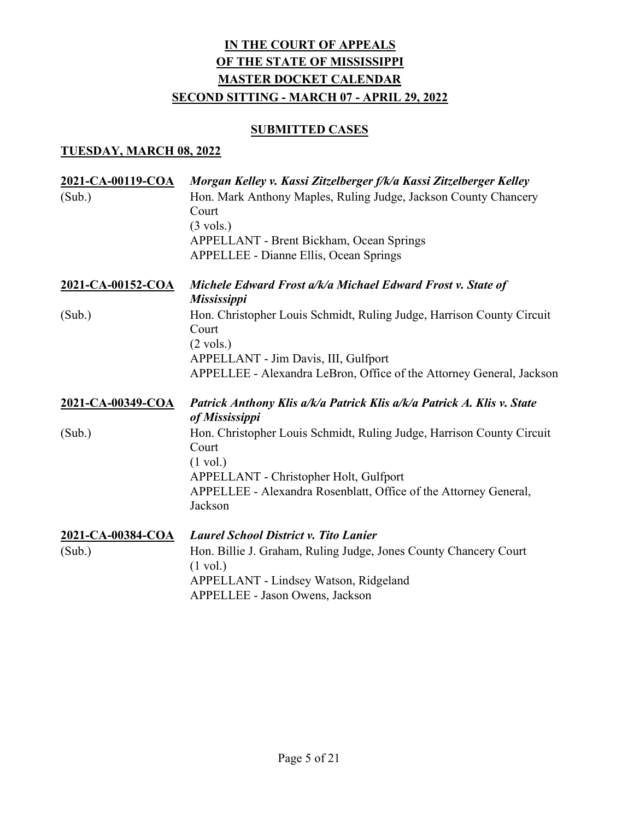### **SUBMITTED CASES**

| 2021-CA-00119-COA<br>(Sub.) | Morgan Kelley v. Kassi Zitzelberger f/k/a Kassi Zitzelberger Kelley<br>Hon. Mark Anthony Maples, Ruling Judge, Jackson County Chancery<br>Court<br>$(3 \text{ vols.})$<br><b>APPELLANT - Brent Bickham, Ocean Springs</b><br><b>APPELLEE - Dianne Ellis, Ocean Springs</b> |
|-----------------------------|----------------------------------------------------------------------------------------------------------------------------------------------------------------------------------------------------------------------------------------------------------------------------|
| 2021-CA-00152-COA           | Michele Edward Frost a/k/a Michael Edward Frost v. State of<br><b>Mississippi</b>                                                                                                                                                                                          |
| (Sub.)                      | Hon. Christopher Louis Schmidt, Ruling Judge, Harrison County Circuit<br>Court<br>$(2 \text{ vols.})$<br>APPELLANT - Jim Davis, III, Gulfport<br>APPELLEE - Alexandra LeBron, Office of the Attorney General, Jackson                                                      |
| 2021-CA-00349-COA           | Patrick Anthony Klis a/k/a Patrick Klis a/k/a Patrick A. Klis v. State<br>of Mississippi                                                                                                                                                                                   |
| (Sub.)                      | Hon. Christopher Louis Schmidt, Ruling Judge, Harrison County Circuit<br>Court                                                                                                                                                                                             |
|                             | $(1 \text{ vol.})$<br>APPELLANT - Christopher Holt, Gulfport<br>APPELLEE - Alexandra Rosenblatt, Office of the Attorney General,<br>Jackson                                                                                                                                |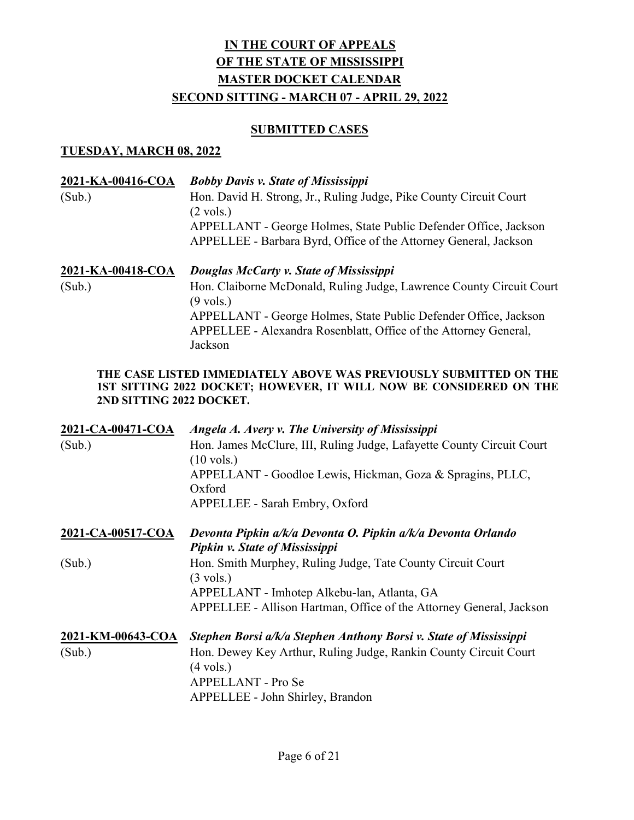#### SUBMITTED CASES

#### TUESDAY, MARCH 08, 2022

| 2021-KA-00416-COA<br>(Sub.) | <b>Bobby Davis v. State of Mississippi</b><br>Hon. David H. Strong, Jr., Ruling Judge, Pike County Circuit Court<br>$(2 \text{ vols.})$<br>APPELLANT - George Holmes, State Public Defender Office, Jackson<br>APPELLEE - Barbara Byrd, Office of the Attorney General, Jackson           |
|-----------------------------|-------------------------------------------------------------------------------------------------------------------------------------------------------------------------------------------------------------------------------------------------------------------------------------------|
| 2021-KA-00418-COA<br>(Sub.) | Douglas McCarty v. State of Mississippi<br>Hon. Claiborne McDonald, Ruling Judge, Lawrence County Circuit Court<br>$(9 \text{ vols.})$<br>APPELLANT - George Holmes, State Public Defender Office, Jackson<br>APPELLEE - Alexandra Rosenblatt, Office of the Attorney General,<br>Jackson |

#### THE CASE LISTED IMMEDIATELY ABOVE WAS PREVIOUSLY SUBMITTED ON THE 1ST SITTING 2022 DOCKET; HOWEVER, IT WILL NOW BE CONSIDERED ON THE 2ND SITTING 2022 DOCKET.

| 2021-CA-00471-COA | Angela A. Avery v. The University of Mississippi                                               |
|-------------------|------------------------------------------------------------------------------------------------|
| (Sub.)            | Hon. James McClure, III, Ruling Judge, Lafayette County Circuit Court<br>$(10 \text{ vols.})$  |
|                   | APPELLANT - Goodloe Lewis, Hickman, Goza & Spragins, PLLC,<br>Oxford                           |
|                   | APPELLEE - Sarah Embry, Oxford                                                                 |
| 2021-CA-00517-COA | Devonta Pipkin a/k/a Devonta O. Pipkin a/k/a Devonta Orlando<br>Pipkin v. State of Mississippi |
| (Sub.)            | Hon. Smith Murphey, Ruling Judge, Tate County Circuit Court<br>$(3 \text{ vols.})$             |
|                   | APPELLANT - Imhotep Alkebu-lan, Atlanta, GA                                                    |
|                   | APPELLEE - Allison Hartman, Office of the Attorney General, Jackson                            |
| 2021-KM-00643-COA | Stephen Borsi a/k/a Stephen Anthony Borsi v. State of Mississippi                              |
| (Sub.)            | Hon. Dewey Key Arthur, Ruling Judge, Rankin County Circuit Court<br>$(4 \text{ vols.})$        |
|                   | <b>APPELLANT</b> - Pro Se                                                                      |
|                   | APPELLEE - John Shirley, Brandon                                                               |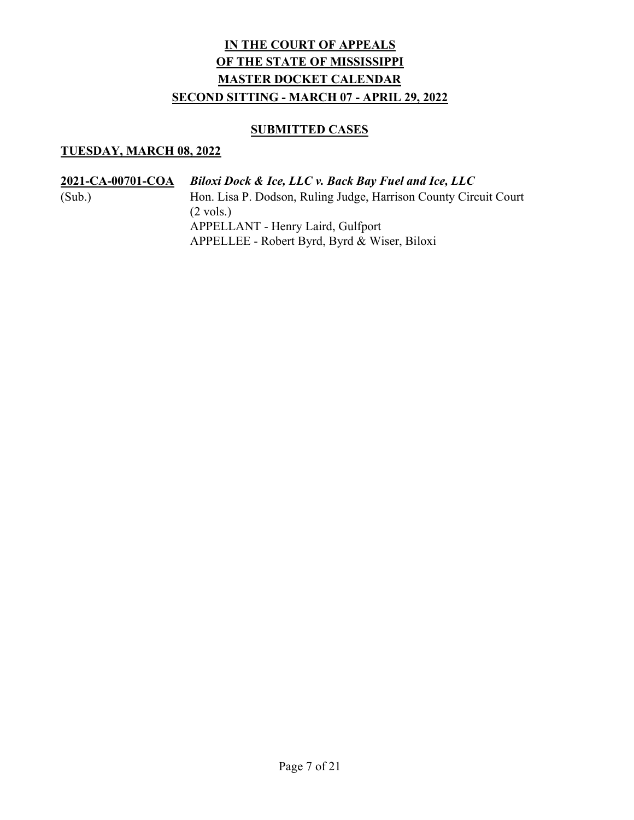### **SUBMITTED CASES**

| 2021-CA-00701-COA | <b>Biloxi Dock &amp; Ice, LLC v. Back Bay Fuel and Ice, LLC</b>  |
|-------------------|------------------------------------------------------------------|
| (Sub.)            | Hon. Lisa P. Dodson, Ruling Judge, Harrison County Circuit Court |
|                   | $(2 \text{ vols.})$                                              |
|                   | APPELLANT - Henry Laird, Gulfport                                |
|                   | APPELLEE - Robert Byrd, Byrd & Wiser, Biloxi                     |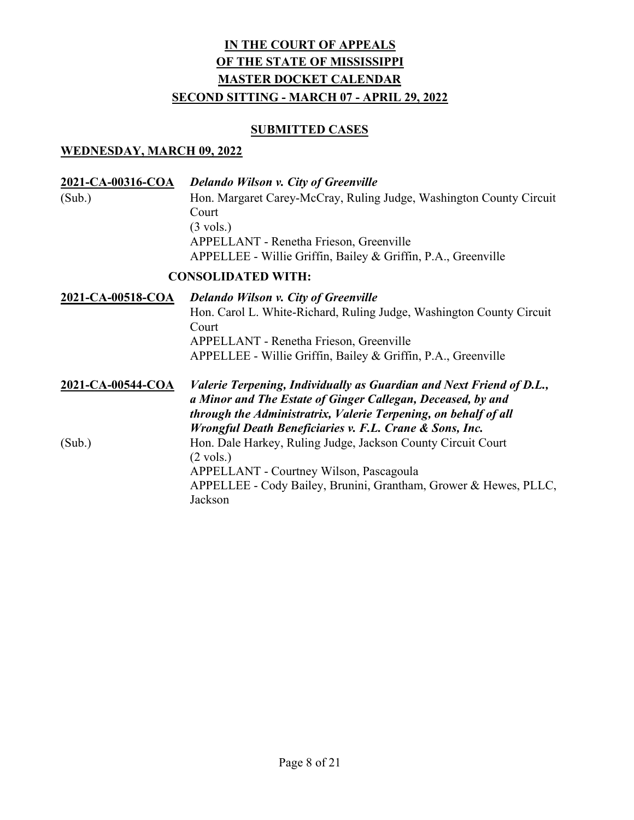#### SUBMITTED CASES

#### WEDNESDAY, MARCH 09, 2022

| 2021-CA-00316-COA | <b>Delando Wilson v. City of Greenville</b>                          |
|-------------------|----------------------------------------------------------------------|
| (Sub.)            | Hon. Margaret Carey-McCray, Ruling Judge, Washington County Circuit  |
|                   | Court                                                                |
|                   | $(3 \text{ vols.})$                                                  |
|                   | APPELLANT - Renetha Frieson, Greenville                              |
|                   | APPELLEE - Willie Griffin, Bailey & Griffin, P.A., Greenville        |
|                   | <b>CONSOLIDATED WITH:</b>                                            |
| 2021-CA-00518-COA | <b>Delando Wilson v. City of Greenville</b>                          |
|                   | Hon. Carol L. White-Richard, Ruling Judge, Washington County Circuit |

Court APPELLANT - Renetha Frieson, Greenville APPELLEE - Willie Griffin, Bailey & Griffin, P.A., Greenville

2021-CA-00544-COA Valerie Terpening, Individually as Guardian and Next Friend of D.L., a Minor and The Estate of Ginger Callegan, Deceased, by and through the Administratrix, Valerie Terpening, on behalf of all Wrongful Death Beneficiaries v. F.L. Crane & Sons, Inc. (Sub.) Hon. Dale Harkey, Ruling Judge, Jackson County Circuit Court  $(2 \text{ vols.})$  APPELLANT - Courtney Wilson, Pascagoula APPELLEE - Cody Bailey, Brunini, Grantham, Grower & Hewes, PLLC, Jackson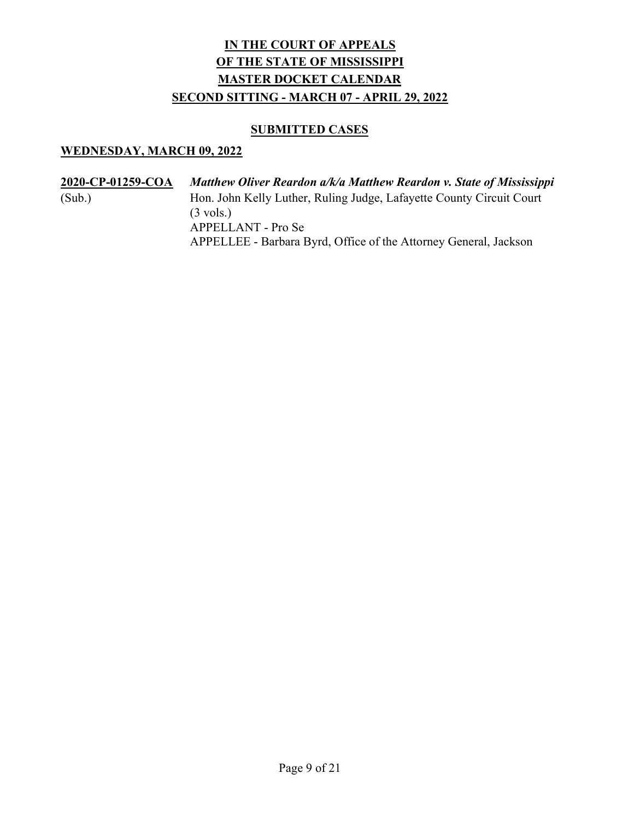### **SUBMITTED CASES**

| 2020-CP-01259-COA | Matthew Oliver Reardon a/k/a Matthew Reardon v. State of Mississippi |
|-------------------|----------------------------------------------------------------------|
| (Sub.)            | Hon. John Kelly Luther, Ruling Judge, Lafayette County Circuit Court |
|                   | $(3 \text{ vols.})$                                                  |
|                   | APPELLANT - Pro Se                                                   |
|                   | APPELLEE - Barbara Byrd, Office of the Attorney General, Jackson     |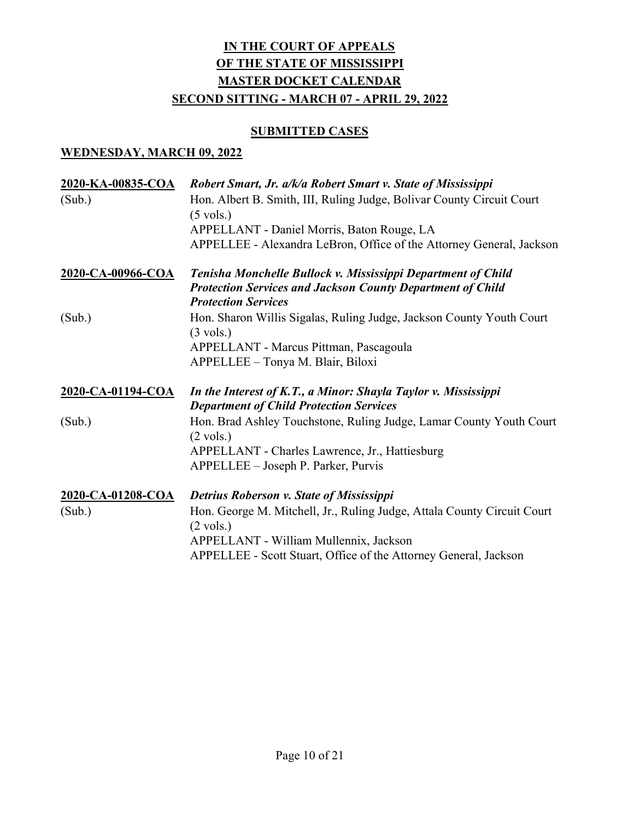## **SUBMITTED CASES**

| 2020-KA-00835-COA | Robert Smart, Jr. a/k/a Robert Smart v. State of Mississippi                                                     |
|-------------------|------------------------------------------------------------------------------------------------------------------|
| (Sub.)            | Hon. Albert B. Smith, III, Ruling Judge, Bolivar County Circuit Court<br>$(5 \text{ vols.})$                     |
|                   | APPELLANT - Daniel Morris, Baton Rouge, LA                                                                       |
|                   | APPELLEE - Alexandra LeBron, Office of the Attorney General, Jackson                                             |
| 2020-CA-00966-COA | Tenisha Monchelle Bullock v. Mississippi Department of Child                                                     |
|                   | <b>Protection Services and Jackson County Department of Child</b><br><b>Protection Services</b>                  |
| (Sub.)            | Hon. Sharon Willis Sigalas, Ruling Judge, Jackson County Youth Court<br>$(3 \text{ vols.})$                      |
|                   | APPELLANT - Marcus Pittman, Pascagoula                                                                           |
|                   | APPELLEE - Tonya M. Blair, Biloxi                                                                                |
| 2020-CA-01194-COA | In the Interest of K.T., a Minor: Shayla Taylor v. Mississippi<br><b>Department of Child Protection Services</b> |
| (Sub.)            | Hon. Brad Ashley Touchstone, Ruling Judge, Lamar County Youth Court<br>$(2 \text{ vols.})$                       |
|                   | APPELLANT - Charles Lawrence, Jr., Hattiesburg                                                                   |
|                   | APPELLEE – Joseph P. Parker, Purvis                                                                              |
| 2020-CA-01208-COA | Detrius Roberson v. State of Mississippi                                                                         |
| (Sub.)            | Hon. George M. Mitchell, Jr., Ruling Judge, Attala County Circuit Court<br>$(2 \text{ vols.})$                   |
|                   | APPELLANT - William Mullennix, Jackson                                                                           |
|                   | APPELLEE - Scott Stuart, Office of the Attorney General, Jackson                                                 |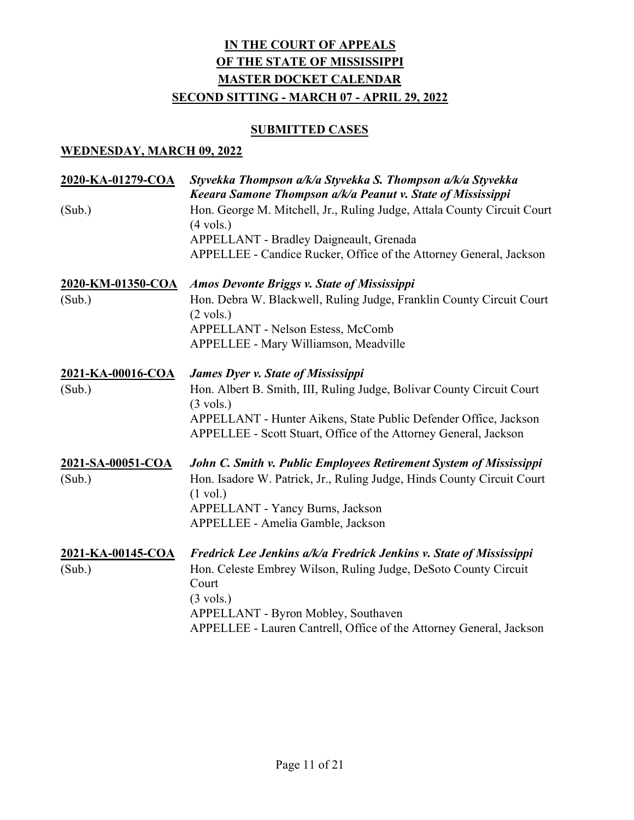### **SUBMITTED CASES**

| 2020-KA-01279-COA | Styvekka Thompson a/k/a Styvekka S. Thompson a/k/a Styvekka<br>Keeara Samone Thompson a/k/a Peanut v. State of Mississippi                |
|-------------------|-------------------------------------------------------------------------------------------------------------------------------------------|
| (Sub.)            | Hon. George M. Mitchell, Jr., Ruling Judge, Attala County Circuit Court<br>$(4 \text{ vols.})$<br>APPELLANT - Bradley Daigneault, Grenada |
|                   | APPELLEE - Candice Rucker, Office of the Attorney General, Jackson                                                                        |
| 2020-KM-01350-COA | <b>Amos Devonte Briggs v. State of Mississippi</b>                                                                                        |
| (Sub.)            | Hon. Debra W. Blackwell, Ruling Judge, Franklin County Circuit Court<br>$(2 \text{ vols.})$                                               |
|                   | APPELLANT - Nelson Estess, McComb                                                                                                         |
|                   | APPELLEE - Mary Williamson, Meadville                                                                                                     |
| 2021-KA-00016-COA | <b>James Dyer v. State of Mississippi</b>                                                                                                 |
| (Sub.)            | Hon. Albert B. Smith, III, Ruling Judge, Bolivar County Circuit Court<br>$(3 \text{ vols.})$                                              |
|                   | APPELLANT - Hunter Aikens, State Public Defender Office, Jackson<br>APPELLEE - Scott Stuart, Office of the Attorney General, Jackson      |
| 2021-SA-00051-COA | John C. Smith v. Public Employees Retirement System of Mississippi                                                                        |
| (Sub.)            | Hon. Isadore W. Patrick, Jr., Ruling Judge, Hinds County Circuit Court<br>$(1 \text{ vol.})$                                              |
|                   | APPELLANT - Yancy Burns, Jackson                                                                                                          |
|                   | APPELLEE - Amelia Gamble, Jackson                                                                                                         |
| 2021-KA-00145-COA | Fredrick Lee Jenkins a/k/a Fredrick Jenkins v. State of Mississippi                                                                       |
| (Sub.)            | Hon. Celeste Embrey Wilson, Ruling Judge, DeSoto County Circuit<br>Court                                                                  |
|                   | $(3 \text{ vols.})$                                                                                                                       |
|                   | APPELLANT - Byron Mobley, Southaven<br>APPELLEE - Lauren Cantrell, Office of the Attorney General, Jackson                                |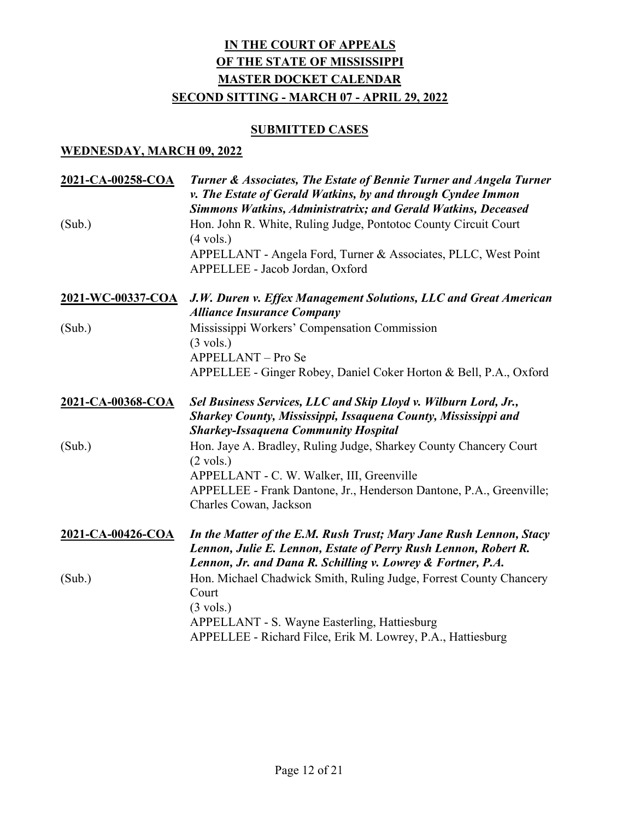### **SUBMITTED CASES**

| 2021-CA-00258-COA<br>(Sub.) | Turner & Associates, The Estate of Bennie Turner and Angela Turner<br>v. The Estate of Gerald Watkins, by and through Cyndee Immon<br>Simmons Watkins, Administratrix; and Gerald Watkins, Deceased<br>Hon. John R. White, Ruling Judge, Pontotoc County Circuit Court<br>$(4 \text{ vols.})$<br>APPELLANT - Angela Ford, Turner & Associates, PLLC, West Point<br>APPELLEE - Jacob Jordan, Oxford |
|-----------------------------|----------------------------------------------------------------------------------------------------------------------------------------------------------------------------------------------------------------------------------------------------------------------------------------------------------------------------------------------------------------------------------------------------|
| 2021-WC-00337-COA           | J.W. Duren v. Effex Management Solutions, LLC and Great American<br><b>Alliance Insurance Company</b>                                                                                                                                                                                                                                                                                              |
| (Sub.)                      | Mississippi Workers' Compensation Commission<br>$(3 \text{ vols.})$<br><b>APPELLANT</b> – Pro Se<br>APPELLEE - Ginger Robey, Daniel Coker Horton & Bell, P.A., Oxford                                                                                                                                                                                                                              |
| 2021-CA-00368-COA           | Sel Business Services, LLC and Skip Lloyd v. Wilburn Lord, Jr.,<br>Sharkey County, Mississippi, Issaquena County, Mississippi and<br><b>Sharkey-Issaquena Community Hospital</b>                                                                                                                                                                                                                   |
| (Sub.)                      | Hon. Jaye A. Bradley, Ruling Judge, Sharkey County Chancery Court<br>$(2 \text{ vols.})$<br>APPELLANT - C. W. Walker, III, Greenville<br>APPELLEE - Frank Dantone, Jr., Henderson Dantone, P.A., Greenville;<br>Charles Cowan, Jackson                                                                                                                                                             |
| 2021-CA-00426-COA           | In the Matter of the E.M. Rush Trust; Mary Jane Rush Lennon, Stacy<br>Lennon, Julie E. Lennon, Estate of Perry Rush Lennon, Robert R.<br>Lennon, Jr. and Dana R. Schilling v. Lowrey & Fortner, P.A.                                                                                                                                                                                               |
| (Sub.)                      | Hon. Michael Chadwick Smith, Ruling Judge, Forrest County Chancery<br>Court<br>$(3 \text{ vols.})$<br>APPELLANT - S. Wayne Easterling, Hattiesburg<br>APPELLEE - Richard Filce, Erik M. Lowrey, P.A., Hattiesburg                                                                                                                                                                                  |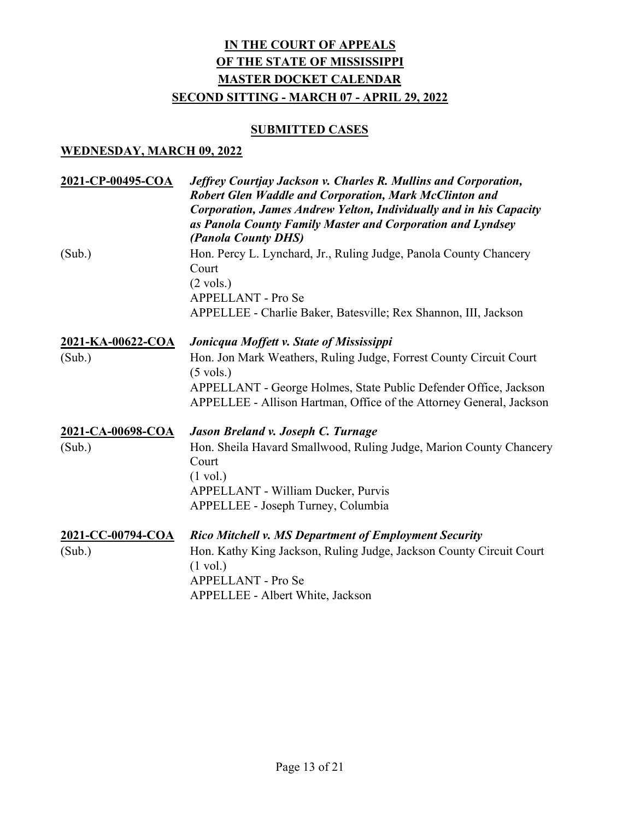### **SUBMITTED CASES**

| 2021-CP-00495-COA<br>(Sub.) | Jeffrey Courtjay Jackson v. Charles R. Mullins and Corporation,<br><b>Robert Glen Waddle and Corporation, Mark McClinton and</b><br>Corporation, James Andrew Yelton, Individually and in his Capacity<br>as Panola County Family Master and Corporation and Lyndsey<br>(Panola County DHS)<br>Hon. Percy L. Lynchard, Jr., Ruling Judge, Panola County Chancery<br>Court<br>$(2 \text{ vols.})$<br><b>APPELLANT - Pro Se</b><br>APPELLEE - Charlie Baker, Batesville; Rex Shannon, III, Jackson |
|-----------------------------|--------------------------------------------------------------------------------------------------------------------------------------------------------------------------------------------------------------------------------------------------------------------------------------------------------------------------------------------------------------------------------------------------------------------------------------------------------------------------------------------------|
| <u>2021-KA-00622-COA</u>    | Jonicqua Moffett v. State of Mississippi                                                                                                                                                                                                                                                                                                                                                                                                                                                         |
| (Sub.)                      | Hon. Jon Mark Weathers, Ruling Judge, Forrest County Circuit Court<br>$(5 \text{ vols.})$<br>APPELLANT - George Holmes, State Public Defender Office, Jackson<br>APPELLEE - Allison Hartman, Office of the Attorney General, Jackson                                                                                                                                                                                                                                                             |
| 2021-CA-00698-COA           | Jason Breland v. Joseph C. Turnage                                                                                                                                                                                                                                                                                                                                                                                                                                                               |
| (Sub.)                      | Hon. Sheila Havard Smallwood, Ruling Judge, Marion County Chancery<br>Court<br>$(1 \text{ vol.})$<br><b>APPELLANT - William Ducker, Purvis</b><br>APPELLEE - Joseph Turney, Columbia                                                                                                                                                                                                                                                                                                             |
| 2021-CC-00794-COA           | <b>Rico Mitchell v. MS Department of Employment Security</b>                                                                                                                                                                                                                                                                                                                                                                                                                                     |
| (Sub.)                      | Hon. Kathy King Jackson, Ruling Judge, Jackson County Circuit Court<br>$(1 \text{ vol.})$<br>APPELLANT - Pro Se<br>APPELLEE - Albert White, Jackson                                                                                                                                                                                                                                                                                                                                              |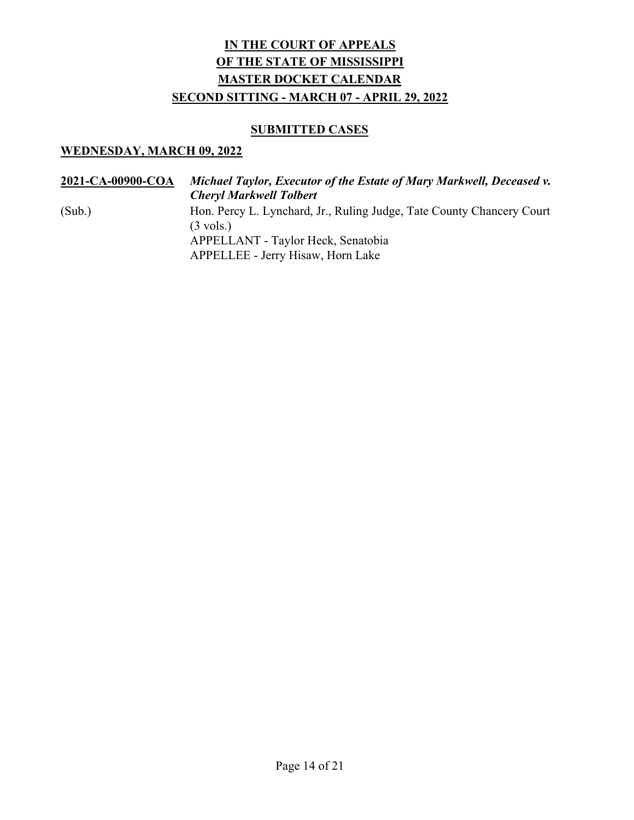### **SUBMITTED CASES**

| 2021-CA-00900-COA | Michael Taylor, Executor of the Estate of Mary Markwell, Deceased v.<br><b>Cheryl Markwell Tolbert</b> |
|-------------------|--------------------------------------------------------------------------------------------------------|
| (Sub.)            | Hon. Percy L. Lynchard, Jr., Ruling Judge, Tate County Chancery Court<br>$(3 \text{ vols.})$           |
|                   | APPELLANT - Taylor Heck, Senatobia<br>APPELLEE - Jerry Hisaw, Horn Lake                                |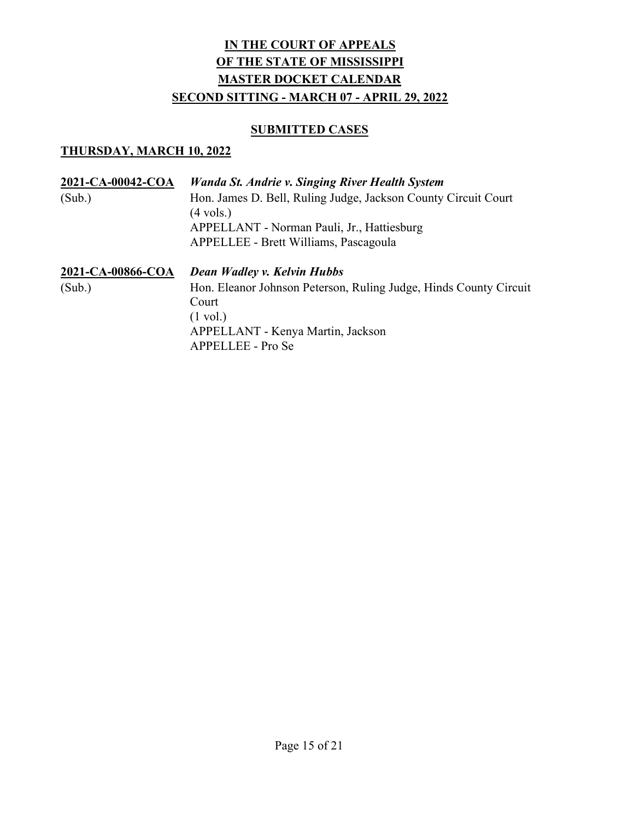## **SUBMITTED CASES**

| 2021-CA-00042-COA | Wanda St. Andrie v. Singing River Health System                   |
|-------------------|-------------------------------------------------------------------|
| (Sub.)            | Hon. James D. Bell, Ruling Judge, Jackson County Circuit Court    |
|                   | $(4 \text{ vols.})$                                               |
|                   | APPELLANT - Norman Pauli, Jr., Hattiesburg                        |
|                   | APPELLEE - Brett Williams, Pascagoula                             |
| 2021-CA-00866-COA | Dean Wadley v. Kelvin Hubbs                                       |
| (Sub.)            | Hon. Eleanor Johnson Peterson, Ruling Judge, Hinds County Circuit |
|                   | Court                                                             |
|                   | $(1 \text{ vol.})$                                                |
|                   | APPELLANT - Kenya Martin, Jackson                                 |
|                   | APPELLEE - Pro Se                                                 |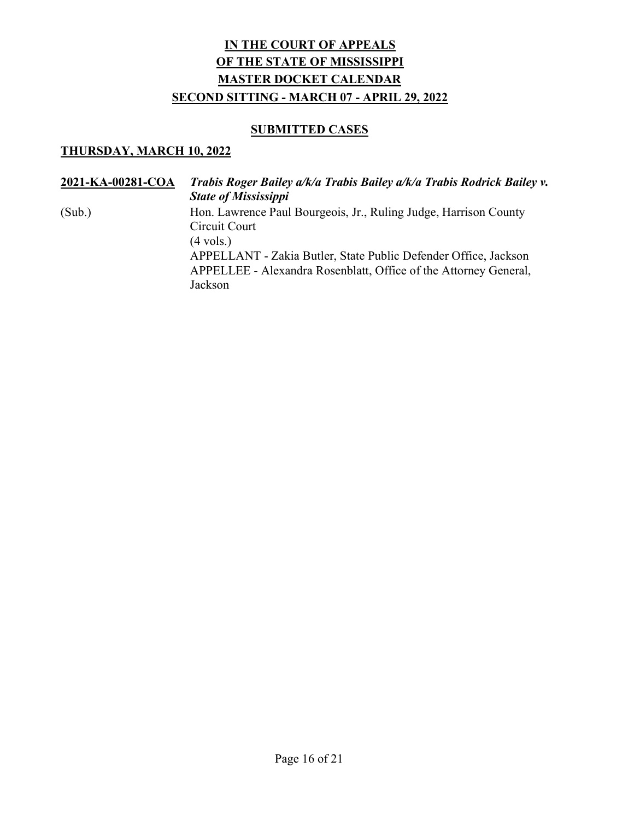### **SUBMITTED CASES**

| 2021-KA-00281-COA | Trabis Roger Bailey a/k/a Trabis Bailey a/k/a Trabis Rodrick Bailey v.<br><b>State of Mississippi</b>                                                                                                                                                      |
|-------------------|------------------------------------------------------------------------------------------------------------------------------------------------------------------------------------------------------------------------------------------------------------|
| (Sub.)            | Hon. Lawrence Paul Bourgeois, Jr., Ruling Judge, Harrison County<br>Circuit Court<br>$(4 \text{ vols.})$<br>APPELLANT - Zakia Butler, State Public Defender Office, Jackson<br>APPELLEE - Alexandra Rosenblatt, Office of the Attorney General,<br>Jackson |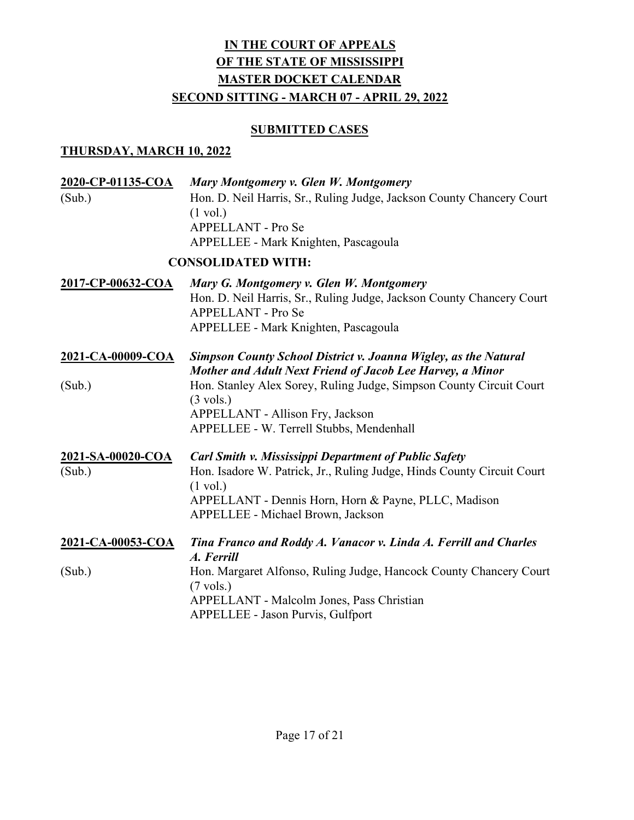## **SUBMITTED CASES**

| 2020-CP-01135-COA<br>(Sub.) | Mary Montgomery v. Glen W. Montgomery<br>Hon. D. Neil Harris, Sr., Ruling Judge, Jackson County Chancery Court<br>$(1 \text{ vol.})$<br>APPELLANT - Pro Se<br>APPELLEE - Mark Knighten, Pascagoula                                                        |
|-----------------------------|-----------------------------------------------------------------------------------------------------------------------------------------------------------------------------------------------------------------------------------------------------------|
|                             | <b>CONSOLIDATED WITH:</b>                                                                                                                                                                                                                                 |
| 2017-CP-00632-COA           | Mary G. Montgomery v. Glen W. Montgomery<br>Hon. D. Neil Harris, Sr., Ruling Judge, Jackson County Chancery Court<br>APPELLANT - Pro Se<br>APPELLEE - Mark Knighten, Pascagoula                                                                           |
| 2021-CA-00009-COA           | <b>Simpson County School District v. Joanna Wigley, as the Natural</b><br>Mother and Adult Next Friend of Jacob Lee Harvey, a Minor                                                                                                                       |
| (Sub.)                      | Hon. Stanley Alex Sorey, Ruling Judge, Simpson County Circuit Court<br>$(3 \text{ vols.})$<br>APPELLANT - Allison Fry, Jackson<br>APPELLEE - W. Terrell Stubbs, Mendenhall                                                                                |
| 2021-SA-00020-COA<br>(Sub.) | <b>Carl Smith v. Mississippi Department of Public Safety</b><br>Hon. Isadore W. Patrick, Jr., Ruling Judge, Hinds County Circuit Court<br>$(1 \text{ vol.})$<br>APPELLANT - Dennis Horn, Horn & Payne, PLLC, Madison<br>APPELLEE - Michael Brown, Jackson |
| 2021-CA-00053-COA           | Tina Franco and Roddy A. Vanacor v. Linda A. Ferrill and Charles<br>A. Ferrill                                                                                                                                                                            |
| (Sub.)                      | Hon. Margaret Alfonso, Ruling Judge, Hancock County Chancery Court<br>$(7 \text{ vols.})$<br>APPELLANT - Malcolm Jones, Pass Christian<br><b>APPELLEE - Jason Purvis, Gulfport</b>                                                                        |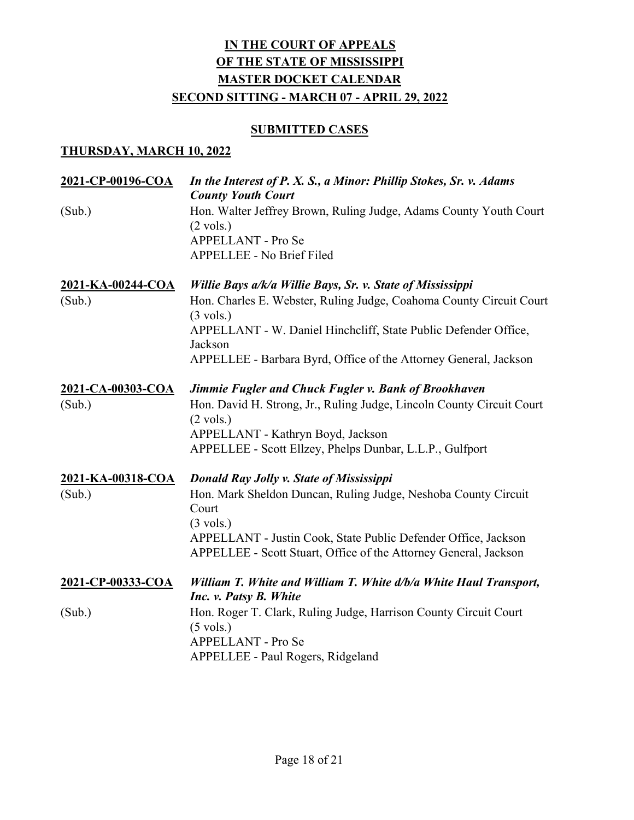#### **SUBMITTED CASES**

| 2021-CP-00196-COA                  | In the Interest of P. X. S., a Minor: Phillip Stokes, Sr. v. Adams<br><b>County Youth Court</b>                                                                                                                                                                                  |
|------------------------------------|----------------------------------------------------------------------------------------------------------------------------------------------------------------------------------------------------------------------------------------------------------------------------------|
| (Sub.)                             | Hon. Walter Jeffrey Brown, Ruling Judge, Adams County Youth Court<br>$(2 \text{ vols.})$<br>APPELLANT - Pro Se<br><b>APPELLEE - No Brief Filed</b>                                                                                                                               |
| 2021-KA-00244-COA<br>(Sub.)        | Willie Bays a/k/a Willie Bays, Sr. v. State of Mississippi<br>Hon. Charles E. Webster, Ruling Judge, Coahoma County Circuit Court<br>$(3 \text{ vols.})$<br>APPELLANT - W. Daniel Hinchcliff, State Public Defender Office,<br>Jackson                                           |
|                                    | APPELLEE - Barbara Byrd, Office of the Attorney General, Jackson                                                                                                                                                                                                                 |
| 2021-CA-00303-COA<br>(Sub.)        | Jimmie Fugler and Chuck Fugler v. Bank of Brookhaven<br>Hon. David H. Strong, Jr., Ruling Judge, Lincoln County Circuit Court<br>$(2 \text{ vols.})$<br>APPELLANT - Kathryn Boyd, Jackson<br>APPELLEE - Scott Ellzey, Phelps Dunbar, L.L.P., Gulfport                            |
| <u>2021-KA-00318-COA</u><br>(Sub.) | Donald Ray Jolly v. State of Mississippi<br>Hon. Mark Sheldon Duncan, Ruling Judge, Neshoba County Circuit<br>Court<br>$(3 \text{ vols.})$<br>APPELLANT - Justin Cook, State Public Defender Office, Jackson<br>APPELLEE - Scott Stuart, Office of the Attorney General, Jackson |
| 2021-CP-00333-COA                  | William T. White and William T. White d/b/a White Haul Transport,<br>Inc. v. Patsy B. White                                                                                                                                                                                      |
| (Sub.)                             | Hon. Roger T. Clark, Ruling Judge, Harrison County Circuit Court<br>$(5 \text{ vols.})$<br>APPELLANT - Pro Se<br>APPELLEE - Paul Rogers, Ridgeland                                                                                                                               |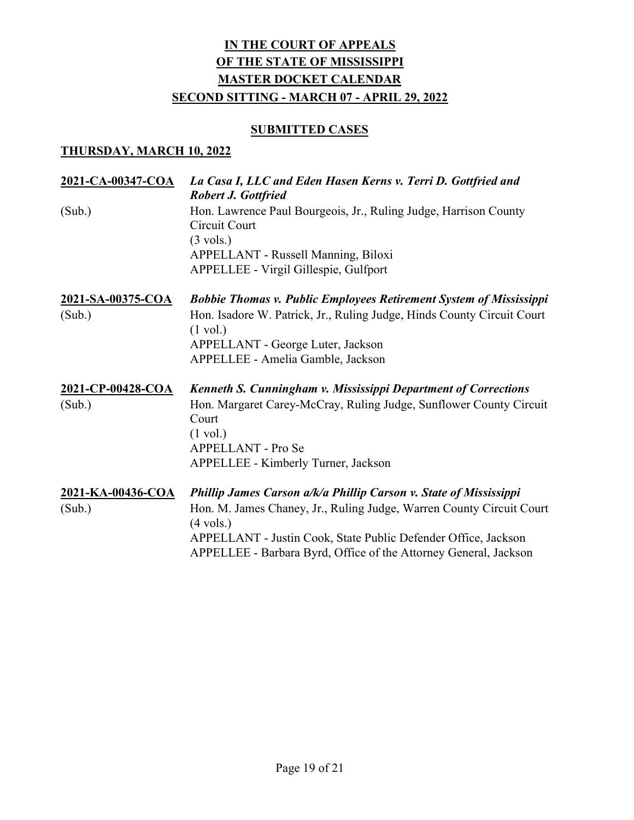### **SUBMITTED CASES**

| 2021-CA-00347-COA | La Casa I, LLC and Eden Hasen Kerns v. Terri D. Gottfried and<br><b>Robert J. Gottfried</b>                                                                                              |
|-------------------|------------------------------------------------------------------------------------------------------------------------------------------------------------------------------------------|
| (Sub.)            | Hon. Lawrence Paul Bourgeois, Jr., Ruling Judge, Harrison County<br>Circuit Court<br>$(3 \text{ vols.})$<br>APPELLANT - Russell Manning, Biloxi<br>APPELLEE - Virgil Gillespie, Gulfport |
| 2021-SA-00375-COA | <b>Bobbie Thomas v. Public Employees Retirement System of Mississippi</b>                                                                                                                |
| (Sub.)            | Hon. Isadore W. Patrick, Jr., Ruling Judge, Hinds County Circuit Court<br>$(1 \text{ vol.})$                                                                                             |
|                   | APPELLANT - George Luter, Jackson                                                                                                                                                        |
|                   | APPELLEE - Amelia Gamble, Jackson                                                                                                                                                        |
| 2021-CP-00428-COA | Kenneth S. Cunningham v. Mississippi Department of Corrections                                                                                                                           |
| (Sub.)            | Hon. Margaret Carey-McCray, Ruling Judge, Sunflower County Circuit<br>Court                                                                                                              |
|                   | $(1 \text{ vol.})$                                                                                                                                                                       |
|                   | APPELLANT - Pro Se                                                                                                                                                                       |
|                   | APPELLEE - Kimberly Turner, Jackson                                                                                                                                                      |
| 2021-KA-00436-COA | <b>Phillip James Carson a/k/a Phillip Carson v. State of Mississippi</b>                                                                                                                 |
| (Sub.)            | Hon. M. James Chaney, Jr., Ruling Judge, Warren County Circuit Court<br>$(4 \text{ vols.})$                                                                                              |
|                   | APPELLANT - Justin Cook, State Public Defender Office, Jackson<br>APPELLEE - Barbara Byrd, Office of the Attorney General, Jackson                                                       |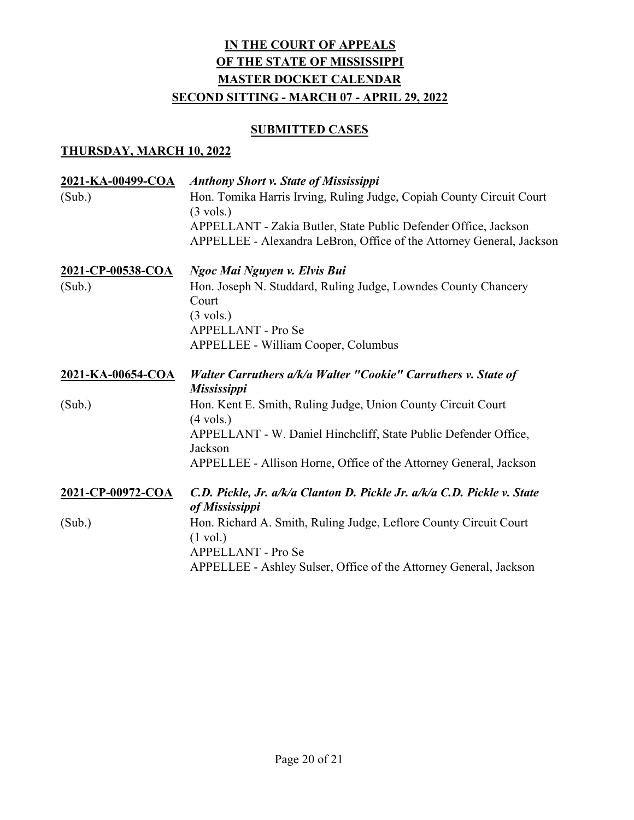### **SUBMITTED CASES**

| <u>2021-KA-00499-COA</u> | <b>Anthony Short v. State of Mississippi</b>                                                                                            |
|--------------------------|-----------------------------------------------------------------------------------------------------------------------------------------|
| (Sub.)                   | Hon. Tomika Harris Irving, Ruling Judge, Copiah County Circuit Court<br>$(3 \text{ vols.})$                                             |
|                          | APPELLANT - Zakia Butler, State Public Defender Office, Jackson<br>APPELLEE - Alexandra LeBron, Office of the Attorney General, Jackson |
| 2021-CP-00538-COA        | Ngoc Mai Nguyen v. Elvis Bui                                                                                                            |
| (Sub.)                   | Hon. Joseph N. Studdard, Ruling Judge, Lowndes County Chancery<br>Court                                                                 |
|                          | $(3 \text{ vols.})$                                                                                                                     |
|                          | <b>APPELLANT - Pro Se</b>                                                                                                               |
|                          | APPELLEE - William Cooper, Columbus                                                                                                     |
| 2021-KA-00654-COA        | Walter Carruthers a/k/a Walter "Cookie" Carruthers v. State of<br><b>Mississippi</b>                                                    |
| (Sub.)                   | Hon. Kent E. Smith, Ruling Judge, Union County Circuit Court<br>$(4 \text{ vols.})$                                                     |
|                          | APPELLANT - W. Daniel Hinchcliff, State Public Defender Office,<br>Jackson                                                              |
|                          | APPELLEE - Allison Horne, Office of the Attorney General, Jackson                                                                       |
| 2021-CP-00972-COA        | C.D. Pickle, Jr. a/k/a Clanton D. Pickle Jr. a/k/a C.D. Pickle v. State<br>of Mississippi                                               |
| (Sub.)                   | Hon. Richard A. Smith, Ruling Judge, Leflore County Circuit Court                                                                       |
|                          | $(1 \text{ vol.})$                                                                                                                      |
|                          | APPELLANT - Pro Se                                                                                                                      |
|                          | APPELLEE - Ashley Sulser, Office of the Attorney General, Jackson                                                                       |